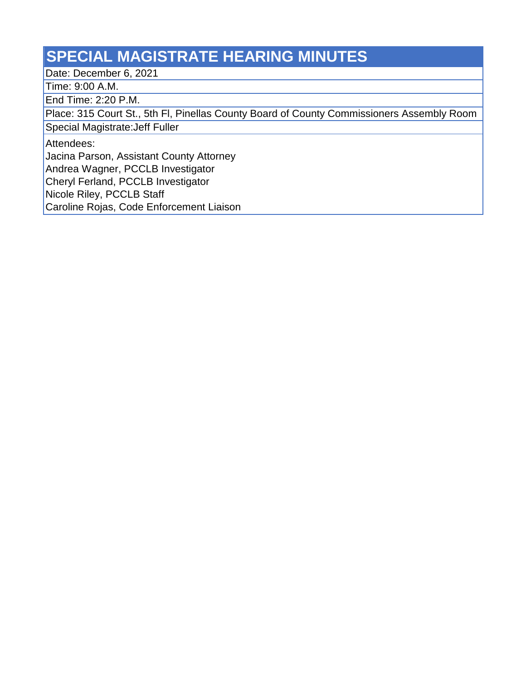## **SPECIAL MAGISTRATE HEARING MINUTES**

Date: December 6, 2021

Time: 9:00 A.M.

End Time: 2:20 P.M.

Place: 315 Court St., 5th Fl, Pinellas County Board of County Commissioners Assembly Room

Special Magistrate:Jeff Fuller

Attendees:

Jacina Parson, Assistant County Attorney

Andrea Wagner, PCCLB Investigator

Cheryl Ferland, PCCLB Investigator

Nicole Riley, PCCLB Staff

Caroline Rojas, Code Enforcement Liaison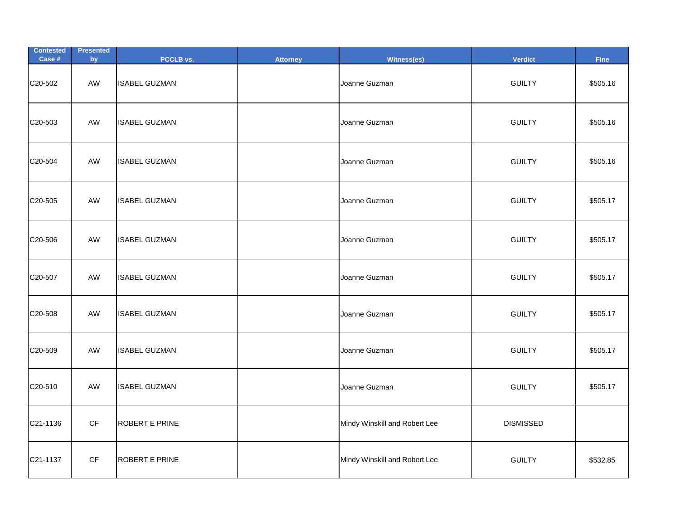| <b>Contested</b><br>Case # | <b>Presented</b><br>by | PCCLB vs.            | <b>Attorney</b> | Witness(es)                   | <b>Verdict</b>   | <b>Fine</b> |
|----------------------------|------------------------|----------------------|-----------------|-------------------------------|------------------|-------------|
| C20-502                    | AW                     | <b>ISABEL GUZMAN</b> |                 | Joanne Guzman                 | <b>GUILTY</b>    | \$505.16    |
| C20-503                    | AW                     | <b>ISABEL GUZMAN</b> |                 | Joanne Guzman                 | <b>GUILTY</b>    | \$505.16    |
| C20-504                    | AW                     | <b>ISABEL GUZMAN</b> |                 | Joanne Guzman                 | <b>GUILTY</b>    | \$505.16    |
| C20-505                    | AW                     | <b>ISABEL GUZMAN</b> |                 | Joanne Guzman                 | <b>GUILTY</b>    | \$505.17    |
| C20-506                    | AW                     | <b>ISABEL GUZMAN</b> |                 | Joanne Guzman                 | <b>GUILTY</b>    | \$505.17    |
| C20-507                    | AW                     | <b>ISABEL GUZMAN</b> |                 | Joanne Guzman                 | <b>GUILTY</b>    | \$505.17    |
| C20-508                    | AW                     | <b>ISABEL GUZMAN</b> |                 | Joanne Guzman                 | <b>GUILTY</b>    | \$505.17    |
| C20-509                    | AW                     | <b>ISABEL GUZMAN</b> |                 | Joanne Guzman                 | <b>GUILTY</b>    | \$505.17    |
| C20-510                    | AW                     | <b>ISABEL GUZMAN</b> |                 | Joanne Guzman                 | <b>GUILTY</b>    | \$505.17    |
| C21-1136                   | $\mathsf{C}\mathsf{F}$ | ROBERT E PRINE       |                 | Mindy Winskill and Robert Lee | <b>DISMISSED</b> |             |
| C21-1137                   | $\mathsf{C}\mathsf{F}$ | ROBERT E PRINE       |                 | Mindy Winskill and Robert Lee | <b>GUILTY</b>    | \$532.85    |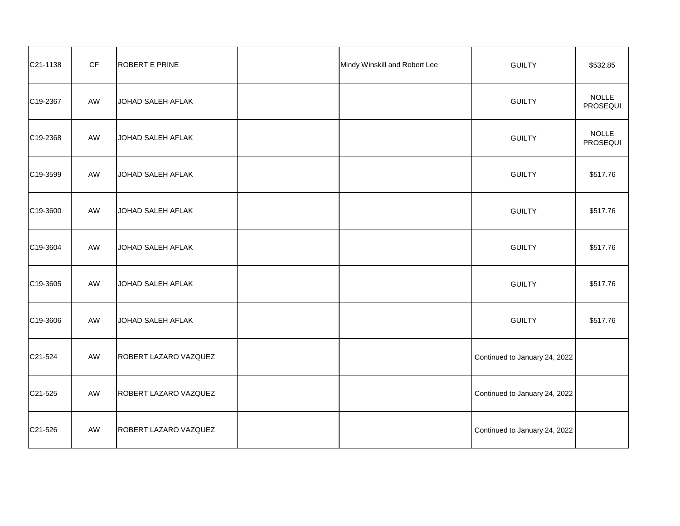| C21-1138 | $\mathsf{C}\mathsf{F}$ | ROBERT E PRINE        | Mindy Winskill and Robert Lee | <b>GUILTY</b>                 | \$532.85                        |
|----------|------------------------|-----------------------|-------------------------------|-------------------------------|---------------------------------|
| C19-2367 | AW                     | JOHAD SALEH AFLAK     |                               | <b>GUILTY</b>                 | <b>NOLLE</b><br><b>PROSEQUI</b> |
| C19-2368 | AW                     | JOHAD SALEH AFLAK     |                               | <b>GUILTY</b>                 | <b>NOLLE</b><br>PROSEQUI        |
| C19-3599 | AW                     | JOHAD SALEH AFLAK     |                               | <b>GUILTY</b>                 | \$517.76                        |
| C19-3600 | AW                     | JOHAD SALEH AFLAK     |                               | <b>GUILTY</b>                 | \$517.76                        |
| C19-3604 | AW                     | JOHAD SALEH AFLAK     |                               | <b>GUILTY</b>                 | \$517.76                        |
| C19-3605 | AW                     | JOHAD SALEH AFLAK     |                               | <b>GUILTY</b>                 | \$517.76                        |
| C19-3606 | AW                     | JOHAD SALEH AFLAK     |                               | <b>GUILTY</b>                 | \$517.76                        |
| C21-524  | AW                     | ROBERT LAZARO VAZQUEZ |                               | Continued to January 24, 2022 |                                 |
| C21-525  | AW                     | ROBERT LAZARO VAZQUEZ |                               | Continued to January 24, 2022 |                                 |
| C21-526  | AW                     | ROBERT LAZARO VAZQUEZ |                               | Continued to January 24, 2022 |                                 |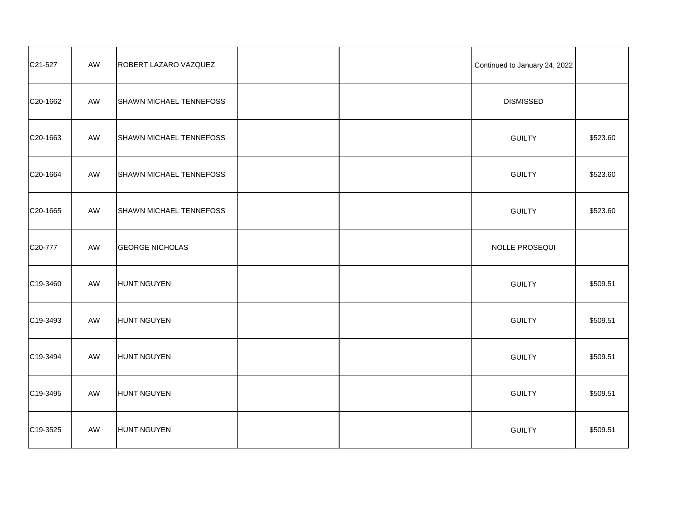| C21-527  | AW | ROBERT LAZARO VAZQUEZ   |  | Continued to January 24, 2022 |          |
|----------|----|-------------------------|--|-------------------------------|----------|
| C20-1662 | AW | SHAWN MICHAEL TENNEFOSS |  | <b>DISMISSED</b>              |          |
| C20-1663 | AW | SHAWN MICHAEL TENNEFOSS |  | <b>GUILTY</b>                 | \$523.60 |
| C20-1664 | AW | SHAWN MICHAEL TENNEFOSS |  | <b>GUILTY</b>                 | \$523.60 |
| C20-1665 | AW | SHAWN MICHAEL TENNEFOSS |  | <b>GUILTY</b>                 | \$523.60 |
| C20-777  | AW | <b>GEORGE NICHOLAS</b>  |  | NOLLE PROSEQUI                |          |
| C19-3460 | AW | HUNT NGUYEN             |  | <b>GUILTY</b>                 | \$509.51 |
| C19-3493 | AW | HUNT NGUYEN             |  | <b>GUILTY</b>                 | \$509.51 |
| C19-3494 | AW | HUNT NGUYEN             |  | <b>GUILTY</b>                 | \$509.51 |
| C19-3495 | AW | HUNT NGUYEN             |  | <b>GUILTY</b>                 | \$509.51 |
| C19-3525 | AW | HUNT NGUYEN             |  | <b>GUILTY</b>                 | \$509.51 |